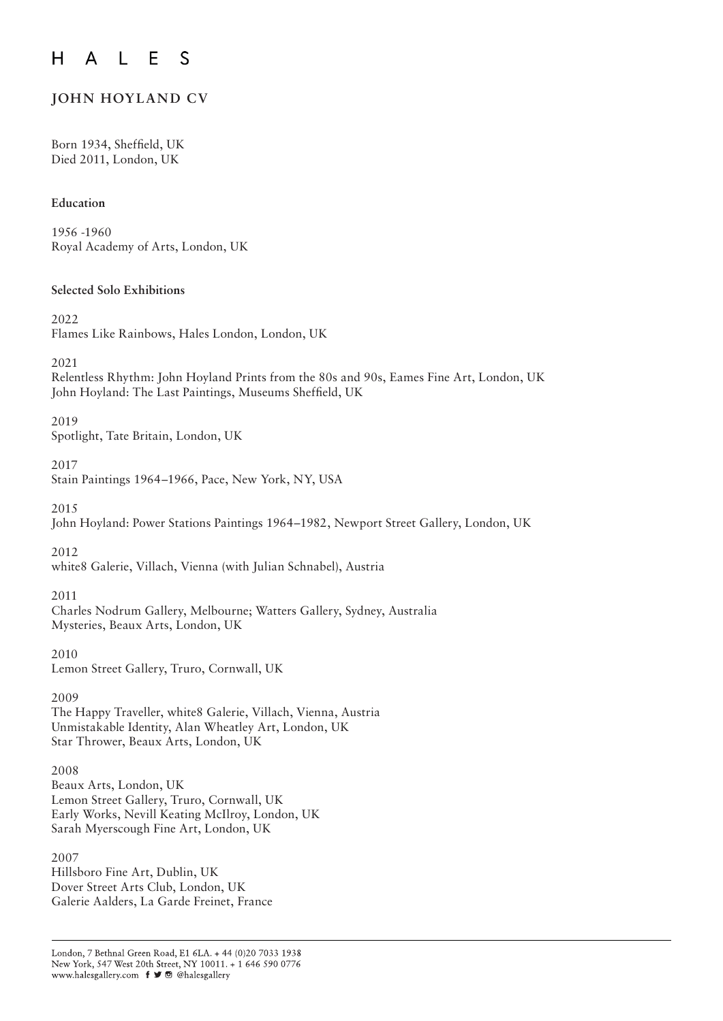#### $E$  $\mathsf{S}$  $H$  $\mathsf{L}$  $\bigwedge$

# **JOHN HOYLAND CV**

Born 1934, Sheffield, UK Died 2011, London, UK

#### **Education**

1956 -1960 Royal Academy of Arts, London, UK

#### **Selected Solo Exhibitions**

2022

Flames Like Rainbows, Hales London, London, UK

2021

Relentless Rhythm: John Hoyland Prints from the 80s and 90s, Eames Fine Art, London, UK John Hoyland: The Last Paintings, Museums Sheffield, UK

2019

Spotlight, Tate Britain, London, UK

#### 2017

Stain Paintings 1964–1966, Pace, New York, NY, USA

2015

John Hoyland: Power Stations Paintings 1964–1982, Newport Street Gallery, London, UK

2012

white8 Galerie, Villach, Vienna (with Julian Schnabel), Austria

#### 2011

Charles Nodrum Gallery, Melbourne; Watters Gallery, Sydney, Australia Mysteries, Beaux Arts, London, UK

2010 Lemon Street Gallery, Truro, Cornwall, UK

2009 The Happy Traveller, white8 Galerie, Villach, Vienna, Austria Unmistakable Identity, Alan Wheatley Art, London, UK Star Thrower, Beaux Arts, London, UK

2008 Beaux Arts, London, UK Lemon Street Gallery, Truro, Cornwall, UK Early Works, Nevill Keating McIlroy, London, UK Sarah Myerscough Fine Art, London, UK

2007 Hillsboro Fine Art, Dublin, UK Dover Street Arts Club, London, UK Galerie Aalders, La Garde Freinet, France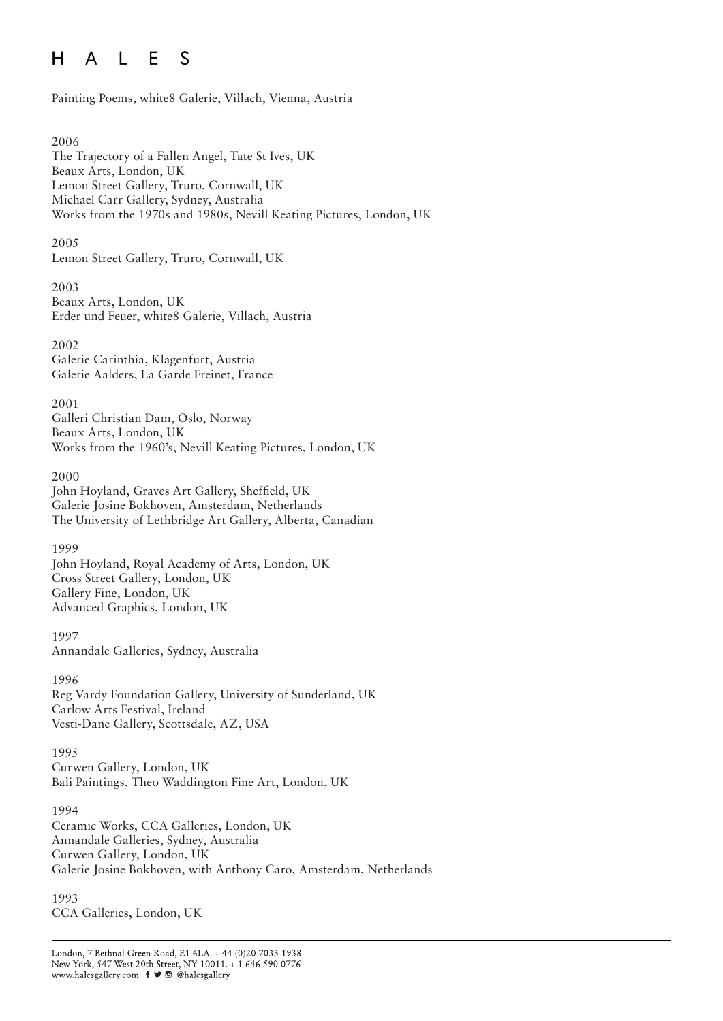#### L E  $H$  $\mathsf{A}$ S

Painting Poems, white8 Galerie, Villach, Vienna, Austria

#### 2006

The Trajectory of a Fallen Angel, Tate St Ives, UK Beaux Arts, London, UK Lemon Street Gallery, Truro, Cornwall, UK Michael Carr Gallery, Sydney, Australia Works from the 1970s and 1980s, Nevill Keating Pictures, London, UK

2005

Lemon Street Gallery, Truro, Cornwall, UK

2003 Beaux Arts, London, UK

Erder und Feuer, white8 Galerie, Villach, Austria

2002

Galerie Carinthia, Klagenfurt, Austria Galerie Aalders, La Garde Freinet, France

2001

Galleri Christian Dam, Oslo, Norway Beaux Arts, London, UK Works from the 1960's, Nevill Keating Pictures, London, UK

2000

John Hoyland, Graves Art Gallery, Sheffield, UK Galerie Josine Bokhoven, Amsterdam, Netherlands The University of Lethbridge Art Gallery, Alberta, Canadian

1999

John Hoyland, Royal Academy of Arts, London, UK Cross Street Gallery, London, UK Gallery Fine, London, UK Advanced Graphics, London, UK

1997 Annandale Galleries, Sydney, Australia

1996

Reg Vardy Foundation Gallery, University of Sunderland, UK Carlow Arts Festival, Ireland Vesti-Dane Gallery, Scottsdale, AZ, USA

1995

Curwen Gallery, London, UK Bali Paintings, Theo Waddington Fine Art, London, UK

1994

Ceramic Works, CCA Galleries, London, UK Annandale Galleries, Sydney, Australia Curwen Gallery, London, UK Galerie Josine Bokhoven, with Anthony Caro, Amsterdam, Netherlands

1993 CCA Galleries, London, UK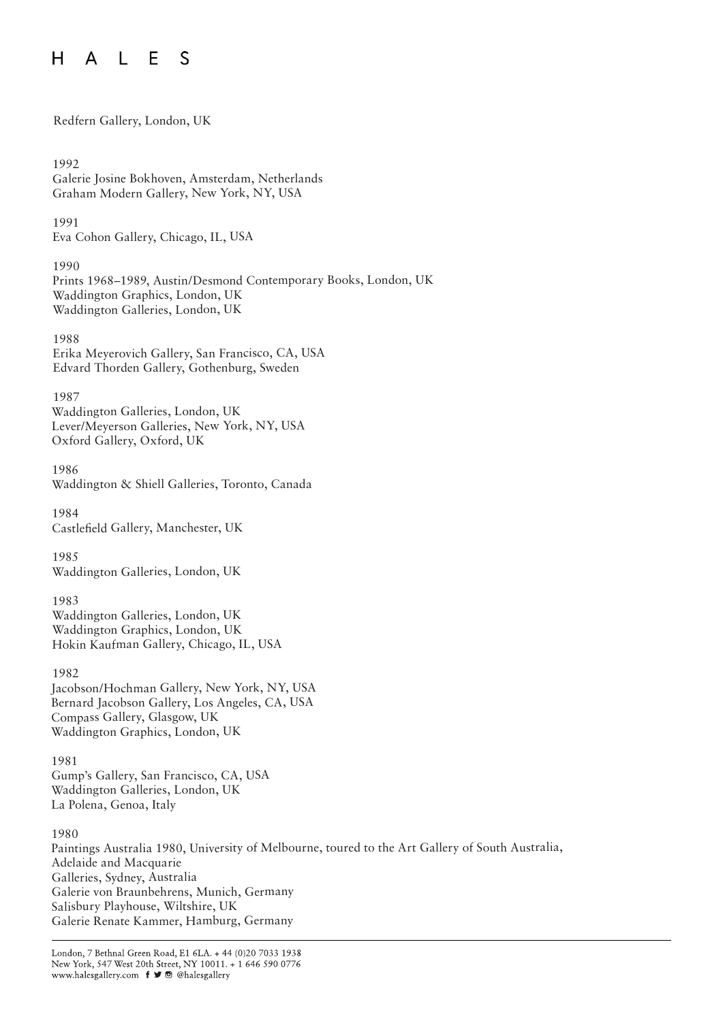#### A L E  $H$ S

Redfern Gallery, London, UK

1992 Galerie Josine Bokhoven, Amsterdam, Netherlands Graham Modern Gallery, New York, NY, USA

1991 Eva Cohon Gallery, Chicago, IL, USA

1990 Prints 1968–1989, Austin/Desmond Contemporary Books, London, UK Waddington Graphics, London, UK Waddington Galleries, London, UK

1988 Erika Meyerovich Gallery, San Francisco, CA, USA Edvard Thorden Gallery, Gothenburg, Sweden

1987 Waddington Galleries, London, UK Lever/Meyerson Galleries, New York, NY, USA Oxford Gallery, Oxford, UK

1986 Waddington & Shiell Galleries, Toronto, Canada

1984 Castlefield Gallery, Manchester, UK

1985 Waddington Galleries, London, UK

1983 Waddington Galleries, London, UK Waddington Graphics, London, UK Hokin Kaufman Gallery, Chicago, IL, USA

1982 Jacobson/Hochman Gallery, New York, NY, USA Bernard Jacobson Gallery, Los Angeles, CA, USA Compass Gallery, Glasgow, UK Waddington Graphics, London, UK

1981 Gump's Gallery, San Francisco, CA, USA Waddington Galleries, London, UK La Polena, Genoa, Italy

1980

Paintings Australia 1980, University of Melbourne, toured to the Art Gallery of South Australia, Adelaide and Macquarie Galleries, Sydney, Australia Galerie von Braunbehrens, Munich, Germany Salisbury Playhouse, Wiltshire, UK Galerie Renate Kammer, Hamburg, Germany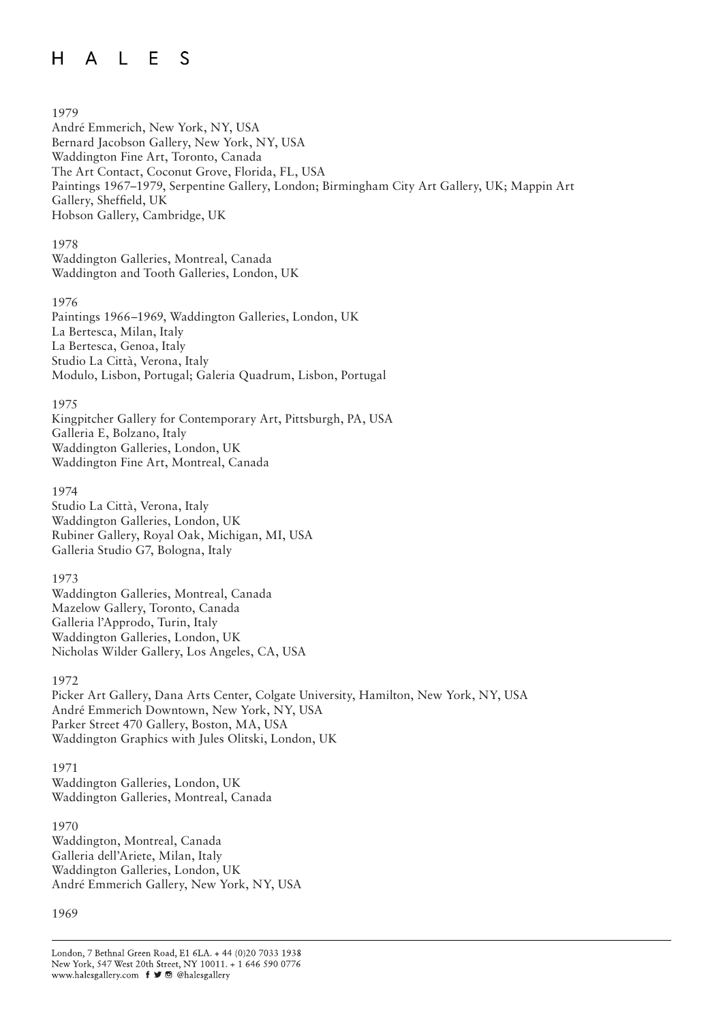#### A L E  $H$ S

#### 1979

André Emmerich, New York, NY, USA Bernard Jacobson Gallery, New York, NY, USA Waddington Fine Art, Toronto, Canada The Art Contact, Coconut Grove, Florida, FL, USA Paintings 1967–1979, Serpentine Gallery, London; Birmingham City Art Gallery, UK; Mappin Art Gallery, Sheffield, UK Hobson Gallery, Cambridge, UK

#### 1978

Waddington Galleries, Montreal, Canada Waddington and Tooth Galleries, London, UK

#### 1976

Paintings 1966–1969, Waddington Galleries, London, UK La Bertesca, Milan, Italy La Bertesca, Genoa, Italy Studio La Città, Verona, Italy Modulo, Lisbon, Portugal; Galeria Quadrum, Lisbon, Portugal

#### 1975

Kingpitcher Gallery for Contemporary Art, Pittsburgh, PA, USA Galleria E, Bolzano, Italy Waddington Galleries, London, UK Waddington Fine Art, Montreal, Canada

#### 1974

Studio La Città, Verona, Italy Waddington Galleries, London, UK Rubiner Gallery, Royal Oak, Michigan, MI, USA Galleria Studio G7, Bologna, Italy

#### 1973

Waddington Galleries, Montreal, Canada Mazelow Gallery, Toronto, Canada Galleria l'Approdo, Turin, Italy Waddington Galleries, London, UK Nicholas Wilder Gallery, Los Angeles, CA, USA

#### 1972

Picker Art Gallery, Dana Arts Center, Colgate University, Hamilton, New York, NY, USA André Emmerich Downtown, New York, NY, USA Parker Street 470 Gallery, Boston, MA, USA Waddington Graphics with Jules Olitski, London, UK

#### 1971

Waddington Galleries, London, UK Waddington Galleries, Montreal, Canada

1970 Waddington, Montreal, Canada Galleria dell'Ariete, Milan, Italy Waddington Galleries, London, UK André Emmerich Gallery, New York, NY, USA

#### 1969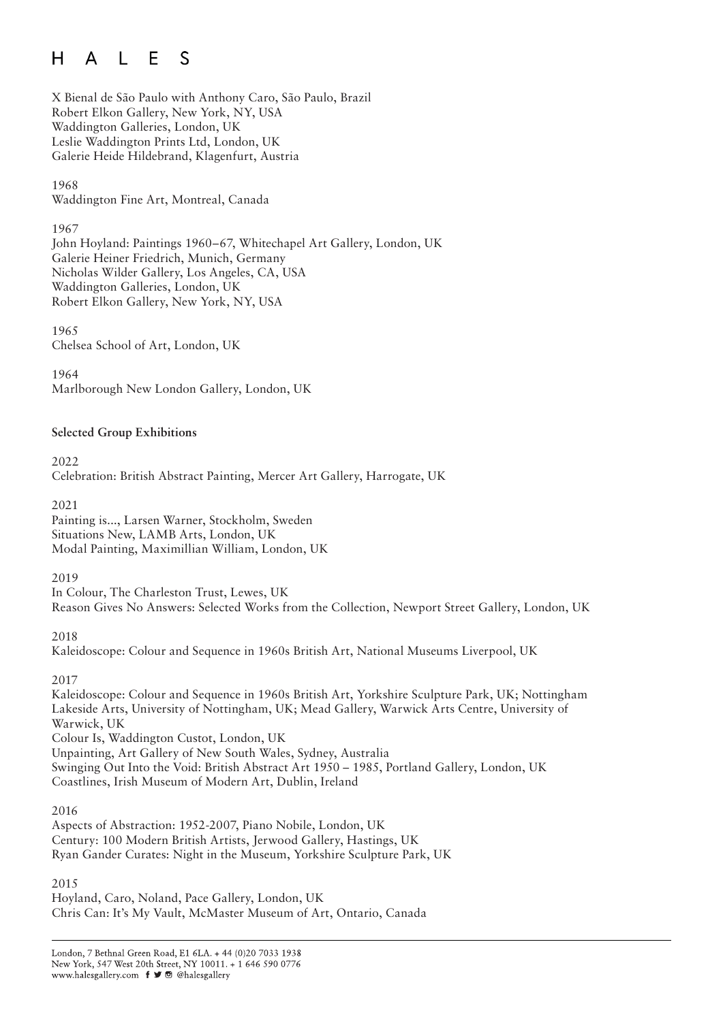#### $\Box$  F  $H$  $\mathsf{A}$  $\mathcal{S}$

X Bienal de São Paulo with Anthony Caro, São Paulo, Brazil Robert Elkon Gallery, New York, NY, USA Waddington Galleries, London, UK Leslie Waddington Prints Ltd, London, UK Galerie Heide Hildebrand, Klagenfurt, Austria

1968 Waddington Fine Art, Montreal, Canada

#### 1967

John Hoyland: Paintings 1960–67, Whitechapel Art Gallery, London, UK Galerie Heiner Friedrich, Munich, Germany Nicholas Wilder Gallery, Los Angeles, CA, USA Waddington Galleries, London, UK Robert Elkon Gallery, New York, NY, USA

1965 Chelsea School of Art, London, UK

1964 Marlborough New London Gallery, London, UK

# **Selected Group Exhibitions**

2022 Celebration: British Abstract Painting, Mercer Art Gallery, Harrogate, UK

2021 Painting is..., Larsen Warner, Stockholm, Sweden Situations New, LAMB Arts, London, UK Modal Painting, Maximillian William, London, UK

2019

In Colour, The Charleston Trust, Lewes, UK Reason Gives No Answers: Selected Works from the Collection, Newport Street Gallery, London, UK

### 2018

Kaleidoscope: Colour and Sequence in 1960s British Art, National Museums Liverpool, UK

2017

Kaleidoscope: Colour and Sequence in 1960s British Art, Yorkshire Sculpture Park, UK; Nottingham Lakeside Arts, University of Nottingham, UK; Mead Gallery, Warwick Arts Centre, University of Warwick, UK Colour Is, Waddington Custot, London, UK Unpainting, Art Gallery of New South Wales, Sydney, Australia Swinging Out Into the Void: British Abstract Art 1950 – 1985, Portland Gallery, London, UK Coastlines, Irish Museum of Modern Art, Dublin, Ireland

### 2016

Aspects of Abstraction: 1952-2007, Piano Nobile, London, UK Century: 100 Modern British Artists, Jerwood Gallery, Hastings, UK Ryan Gander Curates: Night in the Museum, Yorkshire Sculpture Park, UK

### 2015

Hoyland, Caro, Noland, Pace Gallery, London, UK Chris Can: It's My Vault, McMaster Museum of Art, Ontario, Canada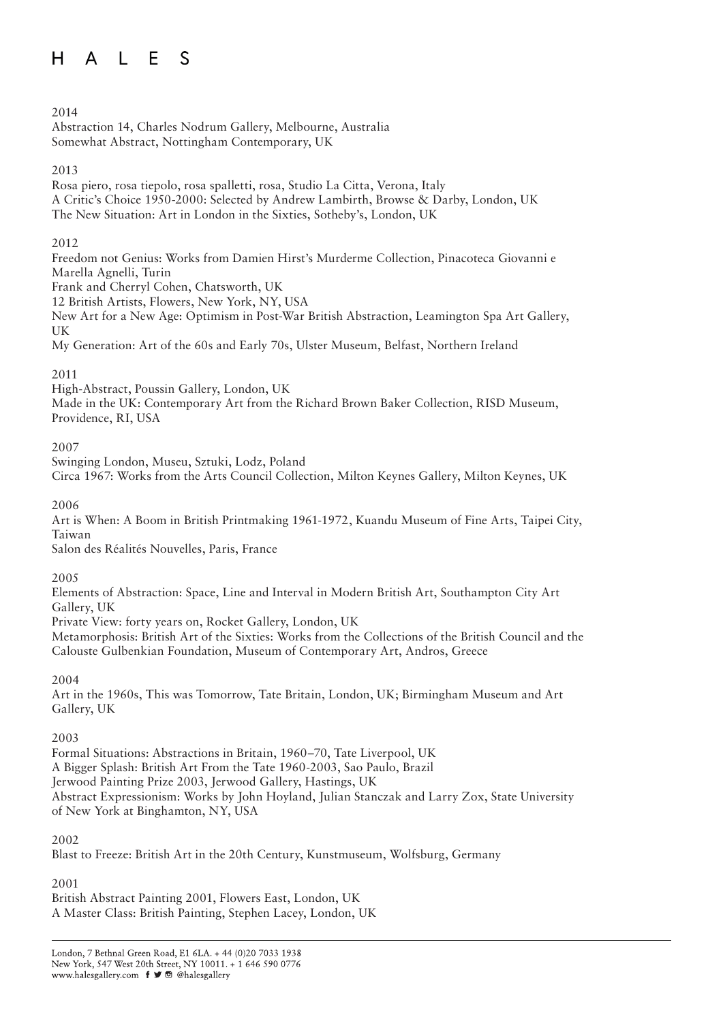#### A L E S  $H$

#### 2014

Abstraction 14, Charles Nodrum Gallery, Melbourne, Australia Somewhat Abstract, Nottingham Contemporary, UK

### 2013

Rosa piero, rosa tiepolo, rosa spalletti, rosa, Studio La Citta, Verona, Italy A Critic's Choice 1950-2000: Selected by Andrew Lambirth, Browse & Darby, London, UK The New Situation: Art in London in the Sixties, Sotheby's, London, UK

### $2012$

Freedom not Genius: Works from Damien Hirst's Murderme Collection, Pinacoteca Giovanni e Marella Agnelli, Turin

Frank and Cherryl Cohen, Chatsworth, UK

12 British Artists, Flowers, New York, NY, USA

New Art for a New Age: Optimism in Post-War British Abstraction, Leamington Spa Art Gallery, UK

My Generation: Art of the 60s and Early 70s, Ulster Museum, Belfast, Northern Ireland

# 2011

High-Abstract, Poussin Gallery, London, UK Made in the UK: Contemporary Art from the Richard Brown Baker Collection, RISD Museum, Providence, RI, USA

### 2007

Swinging London, Museu, Sztuki, Lodz, Poland

Circa 1967: Works from the Arts Council Collection, Milton Keynes Gallery, Milton Keynes, UK

### 2006

Art is When: A Boom in British Printmaking 1961-1972, Kuandu Museum of Fine Arts, Taipei City, Taiwan

Salon des Réalités Nouvelles, Paris, France

### 2005

Elements of Abstraction: Space, Line and Interval in Modern British Art, Southampton City Art Gallery, UK

Private View: forty years on, Rocket Gallery, London, UK

Metamorphosis: British Art of the Sixties: Works from the Collections of the British Council and the Calouste Gulbenkian Foundation, Museum of Contemporary Art, Andros, Greece

### 2004

Art in the 1960s, This was Tomorrow, Tate Britain, London, UK; Birmingham Museum and Art Gallery, UK

### 2003

Formal Situations: Abstractions in Britain, 1960–70, Tate Liverpool, UK A Bigger Splash: British Art From the Tate 1960-2003, Sao Paulo, Brazil Jerwood Painting Prize 2003, Jerwood Gallery, Hastings, UK Abstract Expressionism: Works by John Hoyland, Julian Stanczak and Larry Zox, State University of New York at Binghamton, NY, USA

### 2002

Blast to Freeze: British Art in the 20th Century, Kunstmuseum, Wolfsburg, Germany

### 2001

British Abstract Painting 2001, Flowers East, London, UK A Master Class: British Painting, Stephen Lacey, London, UK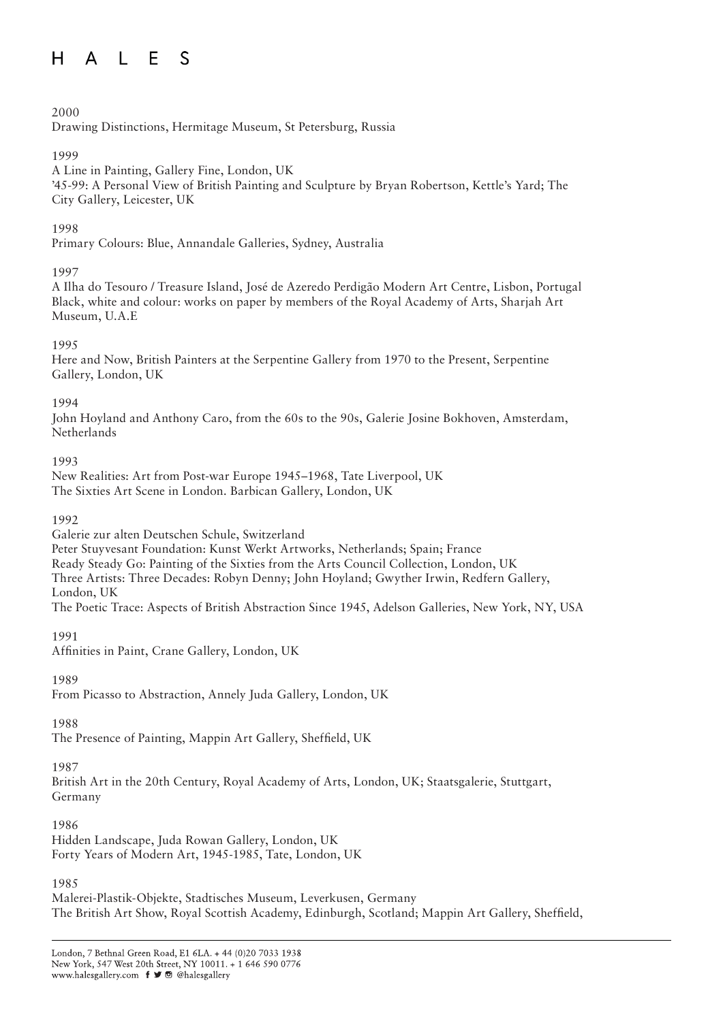#### $A \cup F$  S  $H$

### 2000

Drawing Distinctions, Hermitage Museum, St Petersburg, Russia

#### 1999

A Line in Painting, Gallery Fine, London, UK '45-99: A Personal View of British Painting and Sculpture by Bryan Robertson, Kettle's Yard; The City Gallery, Leicester, UK

### 1998

Primary Colours: Blue, Annandale Galleries, Sydney, Australia

### 1997

A Ilha do Tesouro / Treasure Island, José de Azeredo Perdigão Modern Art Centre, Lisbon, Portugal Black, white and colour: works on paper by members of the Royal Academy of Arts, Sharjah Art Museum, U.A.E

#### 1995

Here and Now, British Painters at the Serpentine Gallery from 1970 to the Present, Serpentine Gallery, London, UK

#### 1994

John Hoyland and Anthony Caro, from the 60s to the 90s, Galerie Josine Bokhoven, Amsterdam, **Netherlands** 

1993

New Realities: Art from Post-war Europe 1945–1968, Tate Liverpool, UK The Sixties Art Scene in London. Barbican Gallery, London, UK

#### 1992

Galerie zur alten Deutschen Schule, Switzerland

Peter Stuyvesant Foundation: Kunst Werkt Artworks, Netherlands; Spain; France

Ready Steady Go: Painting of the Sixties from the Arts Council Collection, London, UK

Three Artists: Three Decades: Robyn Denny; John Hoyland; Gwyther Irwin, Redfern Gallery,

London, UK

The Poetic Trace: Aspects of British Abstraction Since 1945, Adelson Galleries, New York, NY, USA

1991

Affinities in Paint, Crane Gallery, London, UK

### 1989

From Picasso to Abstraction, Annely Juda Gallery, London, UK

### 1988

The Presence of Painting, Mappin Art Gallery, Sheffield, UK

### 1987

British Art in the 20th Century, Royal Academy of Arts, London, UK; Staatsgalerie, Stuttgart, Germany

#### 1986

Hidden Landscape, Juda Rowan Gallery, London, UK Forty Years of Modern Art, 1945-1985, Tate, London, UK

### 1985

Malerei-Plastik-Objekte, Stadtisches Museum, Leverkusen, Germany The British Art Show, Royal Scottish Academy, Edinburgh, Scotland; Mappin Art Gallery, Sheffield,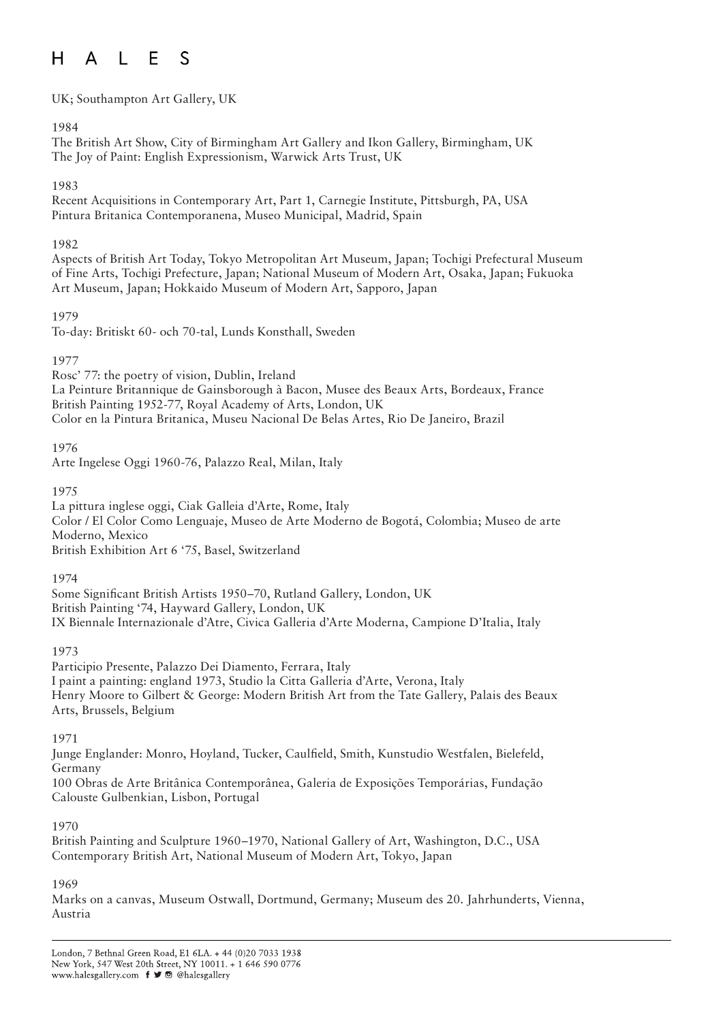#### $\Box$  F  $H$ S  $\mathsf{A}$

UK; Southampton Art Gallery, UK

#### 1984

The British Art Show, City of Birmingham Art Gallery and Ikon Gallery, Birmingham, UK The Joy of Paint: English Expressionism, Warwick Arts Trust, UK

#### 1983

Recent Acquisitions in Contemporary Art, Part 1, Carnegie Institute, Pittsburgh, PA, USA Pintura Britanica Contemporanena, Museo Municipal, Madrid, Spain

#### 1982

Aspects of British Art Today, Tokyo Metropolitan Art Museum, Japan; Tochigi Prefectural Museum of Fine Arts, Tochigi Prefecture, Japan; National Museum of Modern Art, Osaka, Japan; Fukuoka Art Museum, Japan; Hokkaido Museum of Modern Art, Sapporo, Japan

#### 1979

To-day: Britiskt 60- och 70-tal, Lunds Konsthall, Sweden

#### 1977

Rosc' 77: the poetry of vision, Dublin, Ireland La Peinture Britannique de Gainsborough à Bacon, Musee des Beaux Arts, Bordeaux, France British Painting 1952-77, Royal Academy of Arts, London, UK Color en la Pintura Britanica, Museu Nacional De Belas Artes, Rio De Janeiro, Brazil

### 1976

Arte Ingelese Oggi 1960-76, Palazzo Real, Milan, Italy

#### 1975

La pittura inglese oggi, Ciak Galleia d'Arte, Rome, Italy Color / El Color Como Lenguaje, Museo de Arte Moderno de Bogotá, Colombia; Museo de arte Moderno, Mexico British Exhibition Art 6 '75, Basel, Switzerland

1974

Some Significant British Artists 1950–70, Rutland Gallery, London, UK British Painting '74, Hayward Gallery, London, UK IX Biennale Internazionale d'Atre, Civica Galleria d'Arte Moderna, Campione D'Italia, Italy

#### 1973

Participio Presente, Palazzo Dei Diamento, Ferrara, Italy I paint a painting: england 1973, Studio la Citta Galleria d'Arte, Verona, Italy Henry Moore to Gilbert & George: Modern British Art from the Tate Gallery, Palais des Beaux Arts, Brussels, Belgium

#### 1971

Junge Englander: Monro, Hoyland, Tucker, Caulfield, Smith, Kunstudio Westfalen, Bielefeld, Germany

100 Obras de Arte Britânica Contemporânea, Galeria de Exposições Temporárias, Fundação Calouste Gulbenkian, Lisbon, Portugal

#### 1970

British Painting and Sculpture 1960–1970, National Gallery of Art, Washington, D.C., USA Contemporary British Art, National Museum of Modern Art, Tokyo, Japan

#### 1969

Marks on a canvas, Museum Ostwall, Dortmund, Germany; Museum des 20. Jahrhunderts, Vienna, Austria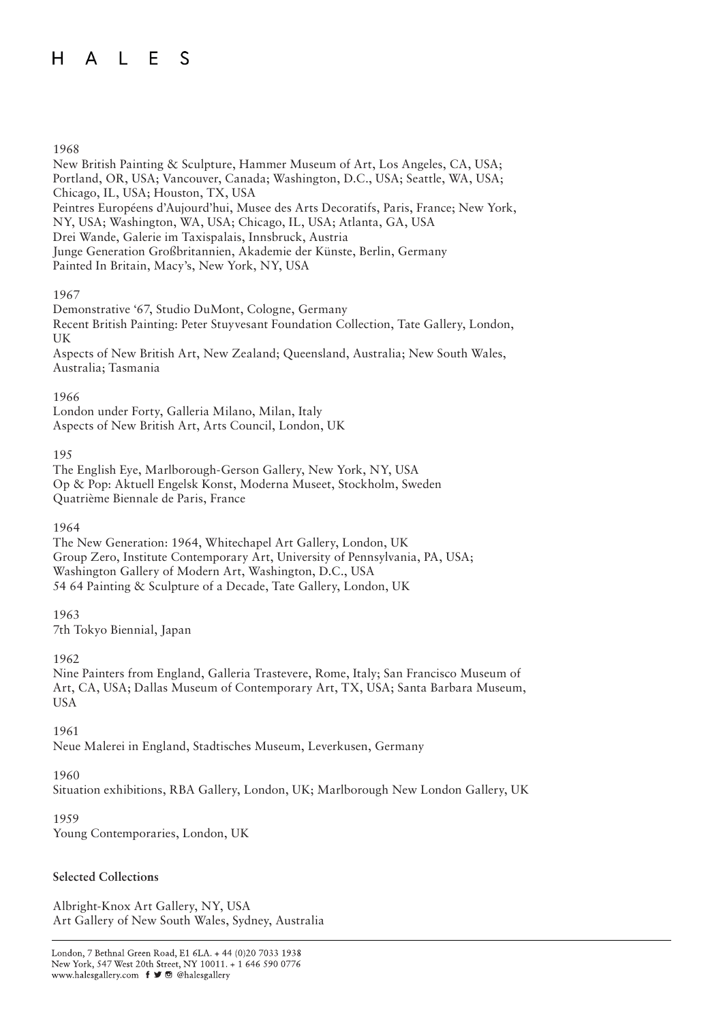#### A L E  $H$ S

#### 1968

New British Painting & Sculpture, Hammer Museum of Art, Los Angeles, CA, USA; Portland, OR, USA; Vancouver, Canada; Washington, D.C., USA; Seattle, WA, USA; Chicago, IL, USA; Houston, TX, USA Peintres Européens d'Aujourd'hui, Musee des Arts Decoratifs, Paris, France; New York, NY, USA; Washington, WA, USA; Chicago, IL, USA; Atlanta, GA, USA Drei Wande, Galerie im Taxispalais, Innsbruck, Austria Junge Generation Großbritannien, Akademie der Künste, Berlin, Germany Painted In Britain, Macy's, New York, NY, USA

#### 1967

Demonstrative '67, Studio DuMont, Cologne, Germany Recent British Painting: Peter Stuyvesant Foundation Collection, Tate Gallery, London, UK Aspects of New British Art, New Zealand; Queensland, Australia; New South Wales, Australia; Tasmania

#### 1966

London under Forty, Galleria Milano, Milan, Italy Aspects of New British Art, Arts Council, London, UK

#### 195

The English Eye, Marlborough-Gerson Gallery, New York, NY, USA Op & Pop: Aktuell Engelsk Konst, Moderna Museet, Stockholm, Sweden Quatrième Biennale de Paris, France

#### 1964

The New Generation: 1964, Whitechapel Art Gallery, London, UK Group Zero, Institute Contemporary Art, University of Pennsylvania, PA, USA; Washington Gallery of Modern Art, Washington, D.C., USA 54 64 Painting & Sculpture of a Decade, Tate Gallery, London, UK

### 1963

7th Tokyo Biennial, Japan

#### 1962

Nine Painters from England, Galleria Trastevere, Rome, Italy; San Francisco Museum of Art, CA, USA; Dallas Museum of Contemporary Art, TX, USA; Santa Barbara Museum, **USA** 

#### 1961

Neue Malerei in England, Stadtisches Museum, Leverkusen, Germany

### 1960

Situation exhibitions, RBA Gallery, London, UK; Marlborough New London Gallery, UK

#### 1959

Young Contemporaries, London, UK

### **Selected Collections**

Albright-Knox Art Gallery, NY, USA Art Gallery of New South Wales, Sydney, Australia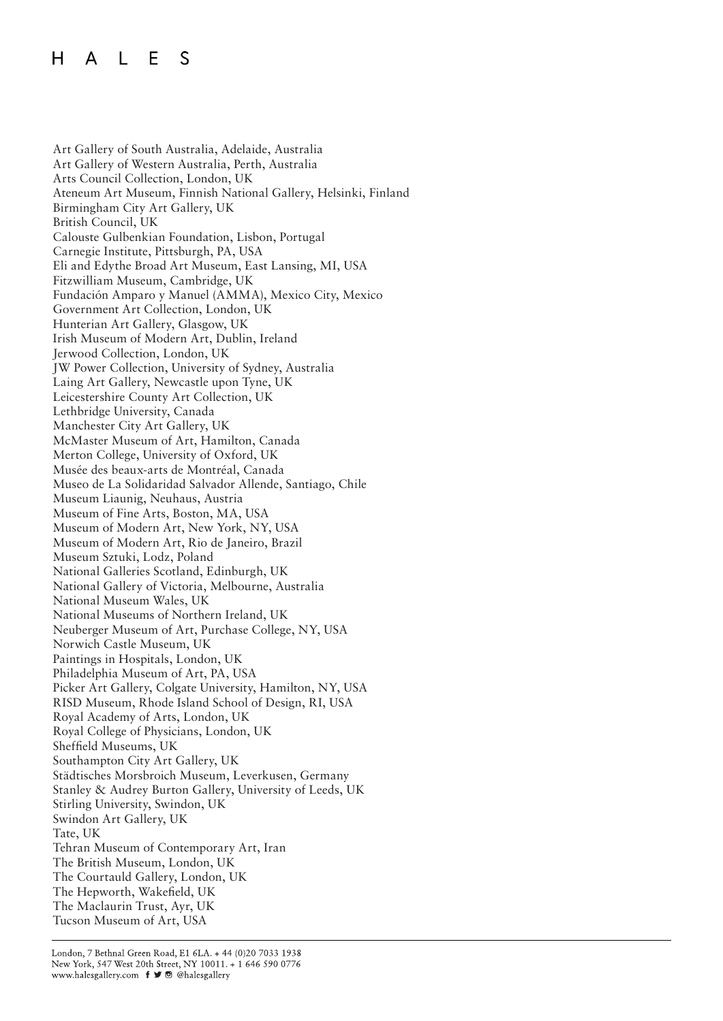#### L E  $H$  $\mathsf{A}$ S

Art Gallery of South Australia, Adelaide, Australia Art Gallery of Western Australia, Perth, Australia Arts Council Collection, London, UK Ateneum Art Museum, Finnish National Gallery, Helsinki, Finland Birmingham City Art Gallery, UK British Council, UK Calouste Gulbenkian Foundation, Lisbon, Portugal Carnegie Institute, Pittsburgh, PA, USA Eli and Edythe Broad Art Museum, East Lansing, MI, USA Fitzwilliam Museum, Cambridge, UK Fundación Amparo y Manuel (AMMA), Mexico City, Mexico Government Art Collection, London, UK Hunterian Art Gallery, Glasgow, UK Irish Museum of Modern Art, Dublin, Ireland Jerwood Collection, London, UK JW Power Collection, University of Sydney, Australia Laing Art Gallery, Newcastle upon Tyne, UK Leicestershire County Art Collection, UK Lethbridge University, Canada Manchester City Art Gallery, UK McMaster Museum of Art, Hamilton, Canada Merton College, University of Oxford, UK Musée des beaux-arts de Montréal, Canada Museo de La Solidaridad Salvador Allende, Santiago, Chile Museum Liaunig, Neuhaus, Austria Museum of Fine Arts, Boston, MA, USA Museum of Modern Art, New York, NY, USA Museum of Modern Art, Rio de Janeiro, Brazil Museum Sztuki, Lodz, Poland National Galleries Scotland, Edinburgh, UK National Gallery of Victoria, Melbourne, Australia National Museum Wales, UK National Museums of Northern Ireland, UK Neuberger Museum of Art, Purchase College, NY, USA Norwich Castle Museum, UK Paintings in Hospitals, London, UK Philadelphia Museum of Art, PA, USA Picker Art Gallery, Colgate University, Hamilton, NY, USA RISD Museum, Rhode Island School of Design, RI, USA Royal Academy of Arts, London, UK Royal College of Physicians, London, UK Sheffield Museums, UK Southampton City Art Gallery, UK Städtisches Morsbroich Museum, Leverkusen, Germany Stanley & Audrey Burton Gallery, University of Leeds, UK Stirling University, Swindon, UK Swindon Art Gallery, UK Tate, UK Tehran Museum of Contemporary Art, Iran The British Museum, London, UK The Courtauld Gallery, London, UK The Hepworth, Wakefield, UK The Maclaurin Trust, Ayr, UK Tucson Museum of Art, USA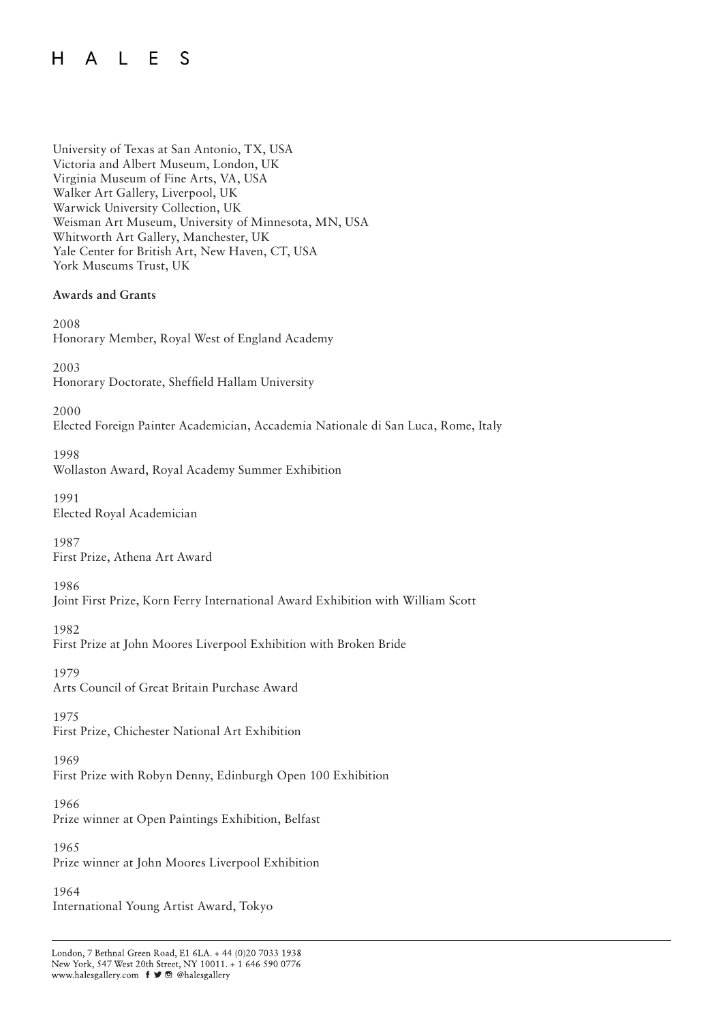#### A L E S  $H$

University of Texas at San Antonio, TX, USA Victoria and Albert Museum, London, UK Virginia Museum of Fine Arts, VA, USA Walker Art Gallery, Liverpool, UK Warwick University Collection, UK Weisman Art Museum, University of Minnesota, MN, USA Whitworth Art Gallery, Manchester, UK Yale Center for British Art, New Haven, CT, USA York Museums Trust, UK

#### **Awards and Grants**

2008 Honorary Member, Royal West of England Academy

2003 Honorary Doctorate, Sheffield Hallam University

2000 Elected Foreign Painter Academician, Accademia Nationale di San Luca, Rome, Italy

1998 Wollaston Award, Royal Academy Summer Exhibition

1991 Elected Royal Academician

1987 First Prize, Athena Art Award

1986

Joint First Prize, Korn Ferry International Award Exhibition with William Scott

1982 First Prize at John Moores Liverpool Exhibition with Broken Bride

1979 Arts Council of Great Britain Purchase Award

1975 First Prize, Chichester National Art Exhibition

1969 First Prize with Robyn Denny, Edinburgh Open 100 Exhibition

1966 Prize winner at Open Paintings Exhibition, Belfast

1965 Prize winner at John Moores Liverpool Exhibition

1964 International Young Artist Award, Tokyo